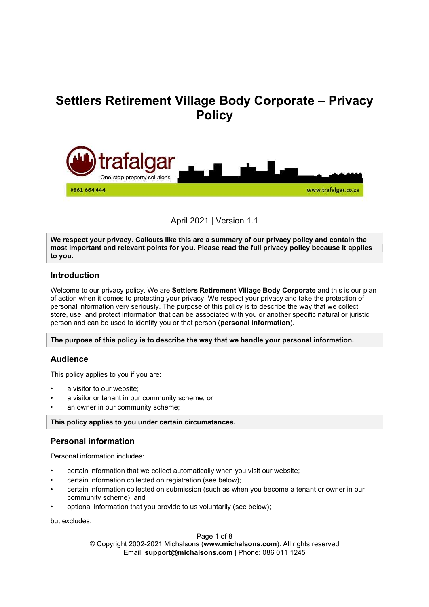# Settlers Retirement Village Body Corporate – Privacy **Policy**



April 2021 | Version 1.1

We respect your privacy. Callouts like this are a summary of our privacy policy and contain the most important and relevant points for you. Please read the full privacy policy because it applies to you.

## Introduction

Welcome to our privacy policy. We are Settlers Retirement Village Body Corporate and this is our plan of action when it comes to protecting your privacy. We respect your privacy and take the protection of personal information very seriously. The purpose of this policy is to describe the way that we collect, store, use, and protect information that can be associated with you or another specific natural or juristic person and can be used to identify you or that person (personal information).

The purpose of this policy is to describe the way that we handle your personal information.

## Audience

This policy applies to you if you are:

- a visitor to our website:
- a visitor or tenant in our community scheme; or
- an owner in our community scheme;

This policy applies to you under certain circumstances.

## Personal information

Personal information includes:

- certain information that we collect automatically when you visit our website;
- certain information collected on registration (see below);
- certain information collected on submission (such as when you become a tenant or owner in our community scheme); and
- optional information that you provide to us voluntarily (see below);

but excludes:

#### Page 1 of 8

© Copyright 2002-2021 Michalsons (www.michalsons.com). All rights reserved Email: support@michalsons.com | Phone: 086 011 1245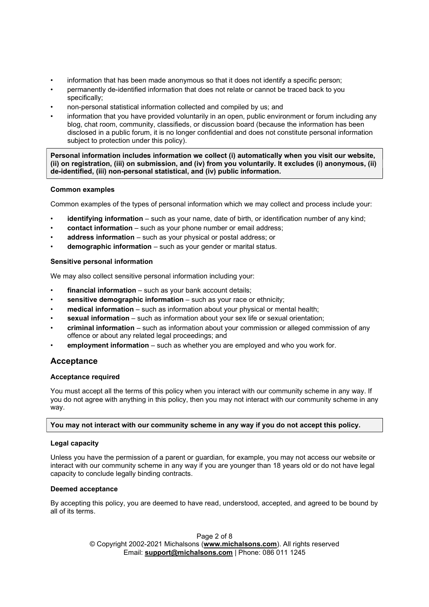- information that has been made anonymous so that it does not identify a specific person;
- permanently de-identified information that does not relate or cannot be traced back to you specifically;
- non-personal statistical information collected and compiled by us; and
- information that you have provided voluntarily in an open, public environment or forum including any blog, chat room, community, classifieds, or discussion board (because the information has been disclosed in a public forum, it is no longer confidential and does not constitute personal information subject to protection under this policy).

Personal information includes information we collect (i) automatically when you visit our website, (ii) on registration, (iii) on submission, and (iv) from you voluntarily. It excludes (i) anonymous, (ii) de-identified, (iii) non-personal statistical, and (iv) public information.

## Common examples

Common examples of the types of personal information which we may collect and process include your:

- identifying information such as your name, date of birth, or identification number of any kind;
- contact information such as your phone number or email address;
- address information such as your physical or postal address; or
- **demographic information**  $-$  such as your gender or marital status.

## Sensitive personal information

We may also collect sensitive personal information including your:

- $f$ inancial information such as your bank account details;
- sensitive demographic information such as your race or ethnicity;
- medical information such as information about your physical or mental health;
- sexual information such as information about your sex life or sexual orientation;
- criminal information such as information about your commission or alleged commission of any offence or about any related legal proceedings; and
- employment information such as whether you are employed and who you work for.

# Acceptance

## Acceptance required

You must accept all the terms of this policy when you interact with our community scheme in any way. If you do not agree with anything in this policy, then you may not interact with our community scheme in any way.

## You may not interact with our community scheme in any way if you do not accept this policy.

## Legal capacity

Unless you have the permission of a parent or guardian, for example, you may not access our website or interact with our community scheme in any way if you are younger than 18 years old or do not have legal capacity to conclude legally binding contracts.

## Deemed acceptance

By accepting this policy, you are deemed to have read, understood, accepted, and agreed to be bound by all of its terms.

> Page 2 of 8 © Copyright 2002-2021 Michalsons (www.michalsons.com). All rights reserved Email: support@michalsons.com | Phone: 086 011 1245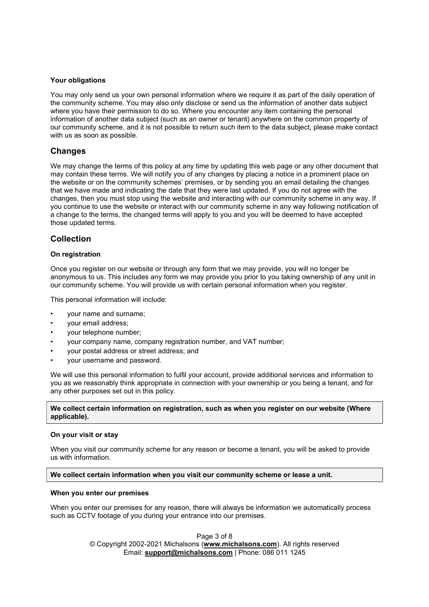#### Your obligations

You may only send us your own personal information where we require it as part of the daily operation of the community scheme. You may also only disclose or send us the information of another data subject where you have their permission to do so. Where you encounter any item containing the personal information of another data subject (such as an owner or tenant) anywhere on the common property of our community scheme, and it is not possible to return such item to the data subject, please make contact with us as soon as possible.

## Changes

We may change the terms of this policy at any time by updating this web page or any other document that may contain these terms. We will notify you of any changes by placing a notice in a prominent place on the website or on the community schemes' premises, or by sending you an email detailing the changes that we have made and indicating the date that they were last updated. If you do not agree with the changes, then you must stop using the website and interacting with our community scheme in any way. If you continue to use the website or interact with our community scheme in any way following notification of a change to the terms, the changed terms will apply to you and you will be deemed to have accepted those updated terms.

## Collection

#### On registration

Once you register on our website or through any form that we may provide, you will no longer be anonymous to us. This includes any form we may provide you prior to you taking ownership of any unit in our community scheme. You will provide us with certain personal information when you register.

This personal information will include:

- your name and surname;
- your email address;
- your telephone number;
- your company name, company registration number, and VAT number;
- your postal address or street address; and
- your username and password.

We will use this personal information to fulfil your account, provide additional services and information to you as we reasonably think appropriate in connection with your ownership or you being a tenant, and for any other purposes set out in this policy.

#### We collect certain information on registration, such as when you register on our website (Where applicable).

#### On your visit or stay

When you visit our community scheme for any reason or become a tenant, you will be asked to provide us with information.

#### We collect certain information when you visit our community scheme or lease a unit.

#### When you enter our premises

When you enter our premises for any reason, there will always be information we automatically process such as CCTV footage of you during your entrance into our premises.

> Page 3 of 8 © Copyright 2002-2021 Michalsons (www.michalsons.com). All rights reserved Email: support@michalsons.com | Phone: 086 011 1245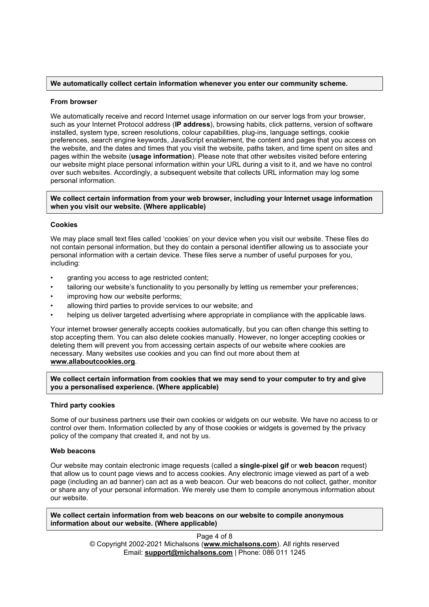#### We automatically collect certain information whenever you enter our community scheme.

#### From browser

We automatically receive and record Internet usage information on our server logs from your browser, such as your Internet Protocol address (IP address), browsing habits, click patterns, version of software installed, system type, screen resolutions, colour capabilities, plug-ins, language settings, cookie preferences, search engine keywords, JavaScript enablement, the content and pages that you access on the website, and the dates and times that you visit the website, paths taken, and time spent on sites and pages within the website (usage information). Please note that other websites visited before entering our website might place personal information within your URL during a visit to it, and we have no control over such websites. Accordingly, a subsequent website that collects URL information may log some personal information.

#### We collect certain information from your web browser, including your Internet usage information when you visit our website. (Where applicable)

#### Cookies

We may place small text files called 'cookies' on your device when you visit our website. These files do not contain personal information, but they do contain a personal identifier allowing us to associate your personal information with a certain device. These files serve a number of useful purposes for you, including:

- granting you access to age restricted content;
- tailoring our website's functionality to you personally by letting us remember your preferences;
- improving how our website performs;
- allowing third parties to provide services to our website; and
- helping us deliver targeted advertising where appropriate in compliance with the applicable laws.

Your internet browser generally accepts cookies automatically, but you can often change this setting to stop accepting them. You can also delete cookies manually. However, no longer accepting cookies or deleting them will prevent you from accessing certain aspects of our website where cookies are necessary. Many websites use cookies and you can find out more about them at www.allaboutcookies.org.

We collect certain information from cookies that we may send to your computer to try and give you a personalised experience. (Where applicable)

#### Third party cookies

Some of our business partners use their own cookies or widgets on our website. We have no access to or control over them. Information collected by any of those cookies or widgets is governed by the privacy policy of the company that created it, and not by us.

#### Web beacons

Our website may contain electronic image requests (called a single-pixel gif or web beacon request) that allow us to count page views and to access cookies. Any electronic image viewed as part of a web page (including an ad banner) can act as a web beacon. Our web beacons do not collect, gather, monitor or share any of your personal information. We merely use them to compile anonymous information about our website.

We collect certain information from web beacons on our website to compile anonymous information about our website. (Where applicable)

> Page 4 of 8 © Copyright 2002-2021 Michalsons (www.michalsons.com). All rights reserved Email: support@michalsons.com | Phone: 086 011 1245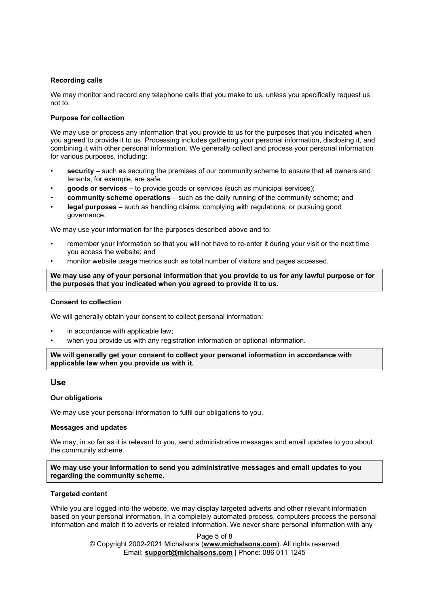#### Recording calls

We may monitor and record any telephone calls that you make to us, unless you specifically request us not to.

#### Purpose for collection

We may use or process any information that you provide to us for the purposes that you indicated when you agreed to provide it to us. Processing includes gathering your personal information, disclosing it, and combining it with other personal information. We generally collect and process your personal information for various purposes, including:

- **security** such as securing the premises of our community scheme to ensure that all owners and tenants, for example, are safe.
- goods or services to provide goods or services (such as municipal services);
- community scheme operations such as the daily running of the community scheme; and
- legal purposes such as handling claims, complying with regulations, or pursuing good governance.

We may use your information for the purposes described above and to:

- remember your information so that you will not have to re-enter it during your visit or the next time you access the website; and
- monitor website usage metrics such as total number of visitors and pages accessed.

We may use any of your personal information that you provide to us for any lawful purpose or for the purposes that you indicated when you agreed to provide it to us.

#### Consent to collection

We will generally obtain your consent to collect personal information:

- in accordance with applicable law;
- when you provide us with any registration information or optional information.

We will generally get your consent to collect your personal information in accordance with applicable law when you provide us with it.

## Use

#### Our obligations

We may use your personal information to fulfil our obligations to you.

#### Messages and updates

We may, in so far as it is relevant to you, send administrative messages and email updates to you about the community scheme.

We may use your information to send you administrative messages and email updates to you regarding the community scheme.

#### Targeted content

While you are logged into the website, we may display targeted adverts and other relevant information based on your personal information. In a completely automated process, computers process the personal information and match it to adverts or related information. We never share personal information with any

> Page 5 of 8 © Copyright 2002-2021 Michalsons (www.michalsons.com). All rights reserved Email: support@michalsons.com | Phone: 086 011 1245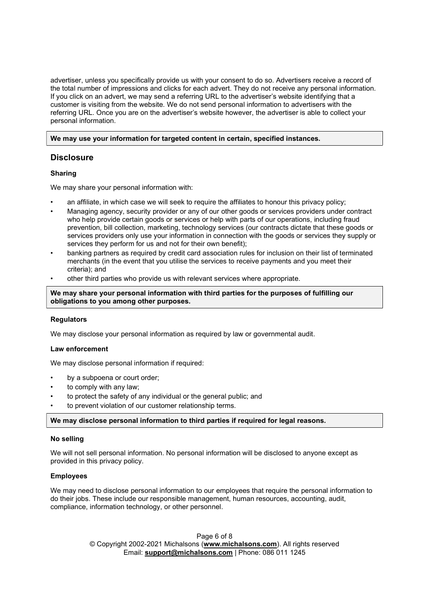advertiser, unless you specifically provide us with your consent to do so. Advertisers receive a record of the total number of impressions and clicks for each advert. They do not receive any personal information. If you click on an advert, we may send a referring URL to the advertiser's website identifying that a customer is visiting from the website. We do not send personal information to advertisers with the referring URL. Once you are on the advertiser's website however, the advertiser is able to collect your personal information.

#### We may use your information for targeted content in certain, specified instances.

## **Disclosure**

## Sharing

We may share your personal information with:

- an affiliate, in which case we will seek to require the affiliates to honour this privacy policy;
- Managing agency, security provider or any of our other goods or services providers under contract who help provide certain goods or services or help with parts of our operations, including fraud prevention, bill collection, marketing, technology services (our contracts dictate that these goods or services providers only use your information in connection with the goods or services they supply or services they perform for us and not for their own benefit);
- banking partners as required by credit card association rules for inclusion on their list of terminated merchants (in the event that you utilise the services to receive payments and you meet their criteria); and
- other third parties who provide us with relevant services where appropriate.

We may share your personal information with third parties for the purposes of fulfilling our obligations to you among other purposes.

## **Regulators**

We may disclose your personal information as required by law or governmental audit.

## Law enforcement

We may disclose personal information if required:

- by a subpoena or court order:
- to comply with any law;
- to protect the safety of any individual or the general public; and
- to prevent violation of our customer relationship terms.

#### We may disclose personal information to third parties if required for legal reasons.

#### No selling

We will not sell personal information. No personal information will be disclosed to anyone except as provided in this privacy policy.

#### Employees

We may need to disclose personal information to our employees that require the personal information to do their jobs. These include our responsible management, human resources, accounting, audit, compliance, information technology, or other personnel.

> Page 6 of 8 © Copyright 2002-2021 Michalsons (www.michalsons.com). All rights reserved Email: support@michalsons.com | Phone: 086 011 1245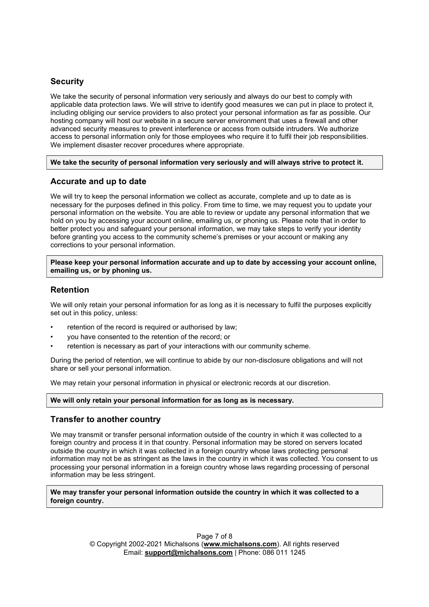# **Security**

We take the security of personal information very seriously and always do our best to comply with applicable data protection laws. We will strive to identify good measures we can put in place to protect it, including obliging our service providers to also protect your personal information as far as possible. Our hosting company will host our website in a secure server environment that uses a firewall and other advanced security measures to prevent interference or access from outside intruders. We authorize access to personal information only for those employees who require it to fulfil their job responsibilities. We implement disaster recover procedures where appropriate.

#### We take the security of personal information very seriously and will always strive to protect it.

## Accurate and up to date

We will try to keep the personal information we collect as accurate, complete and up to date as is necessary for the purposes defined in this policy. From time to time, we may request you to update your personal information on the website. You are able to review or update any personal information that we hold on you by accessing your account online, emailing us, or phoning us. Please note that in order to better protect you and safeguard your personal information, we may take steps to verify your identity before granting you access to the community scheme's premises or your account or making any corrections to your personal information.

Please keep your personal information accurate and up to date by accessing your account online, emailing us, or by phoning us.

## Retention

We will only retain your personal information for as long as it is necessary to fulfil the purposes explicitly set out in this policy, unless:

- retention of the record is required or authorised by law;
- you have consented to the retention of the record; or
- retention is necessary as part of your interactions with our community scheme.

During the period of retention, we will continue to abide by our non-disclosure obligations and will not share or sell your personal information.

We may retain your personal information in physical or electronic records at our discretion.

We will only retain your personal information for as long as is necessary.

## Transfer to another country

We may transmit or transfer personal information outside of the country in which it was collected to a foreign country and process it in that country. Personal information may be stored on servers located outside the country in which it was collected in a foreign country whose laws protecting personal information may not be as stringent as the laws in the country in which it was collected. You consent to us processing your personal information in a foreign country whose laws regarding processing of personal information may be less stringent.

We may transfer your personal information outside the country in which it was collected to a foreign country.

> Page 7 of 8 © Copyright 2002-2021 Michalsons (www.michalsons.com). All rights reserved Email: support@michalsons.com | Phone: 086 011 1245